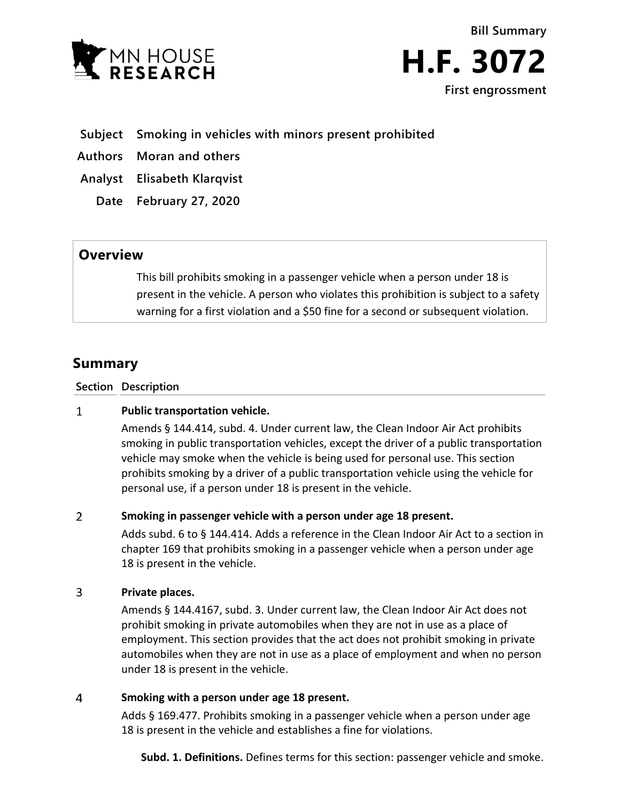



# **Subject Smoking in vehicles with minors present prohibited**

**Authors Moran and others**

**Analyst Elisabeth Klarqvist**

**Date February 27, 2020**

## **Overview**

This bill prohibits smoking in a passenger vehicle when a person under 18 is present in the vehicle. A person who violates this prohibition is subject to a safety warning for a first violation and a \$50 fine for a second or subsequent violation.

# **Summary**

**Section Description**

#### $\mathbf{1}$ **Public transportation vehicle.**

Amends § 144.414, subd. 4. Under current law, the Clean Indoor Air Act prohibits smoking in public transportation vehicles, except the driver of a public transportation vehicle may smoke when the vehicle is being used for personal use. This section prohibits smoking by a driver of a public transportation vehicle using the vehicle for personal use, if a person under 18 is present in the vehicle.

#### $\overline{2}$ **Smoking in passenger vehicle with a person under age 18 present.**

Adds subd. 6 to § 144.414. Adds a reference in the Clean Indoor Air Act to a section in chapter 169 that prohibits smoking in a passenger vehicle when a person under age 18 is present in the vehicle.

#### 3 **Private places.**

Amends § 144.4167, subd. 3. Under current law, the Clean Indoor Air Act does not prohibit smoking in private automobiles when they are not in use as a place of employment. This section provides that the act does not prohibit smoking in private automobiles when they are not in use as a place of employment and when no person under 18 is present in the vehicle.

#### $\overline{4}$ **Smoking with a person under age 18 present.**

Adds § 169.477. Prohibits smoking in a passenger vehicle when a person under age 18 is present in the vehicle and establishes a fine for violations.

**Subd. 1. Definitions.** Defines terms for this section: passenger vehicle and smoke.